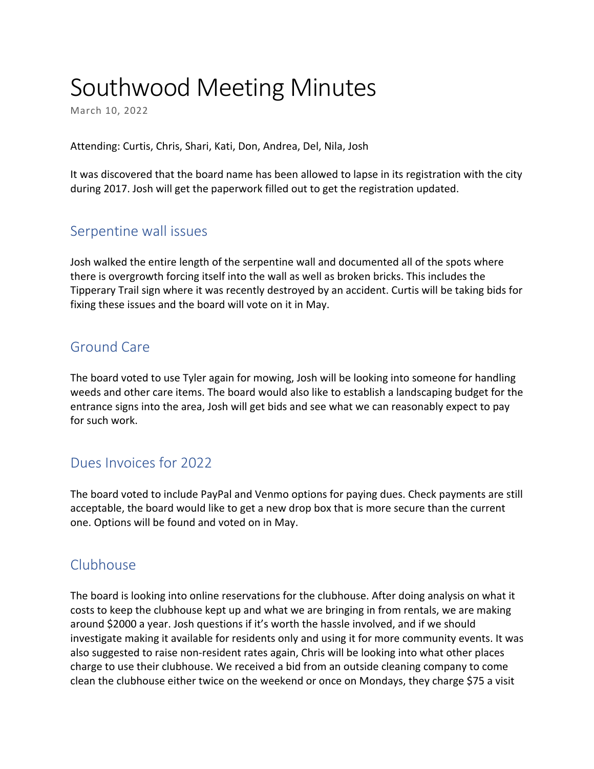# Southwood Meeting Minutes

March 10, 2022

Attending: Curtis, Chris, Shari, Kati, Don, Andrea, Del, Nila, Josh

It was discovered that the board name has been allowed to lapse in its registration with the city during 2017. Josh will get the paperwork filled out to get the registration updated.

## Serpentine wall issues

Josh walked the entire length of the serpentine wall and documented all of the spots where there is overgrowth forcing itself into the wall as well as broken bricks. This includes the Tipperary Trail sign where it was recently destroyed by an accident. Curtis will be taking bids for fixing these issues and the board will vote on it in May.

#### Ground Care

The board voted to use Tyler again for mowing, Josh will be looking into someone for handling weeds and other care items. The board would also like to establish a landscaping budget for the entrance signs into the area, Josh will get bids and see what we can reasonably expect to pay for such work.

## Dues Invoices for 2022

The board voted to include PayPal and Venmo options for paying dues. Check payments are still acceptable, the board would like to get a new drop box that is more secure than the current one. Options will be found and voted on in May.

## Clubhouse

The board is looking into online reservations for the clubhouse. After doing analysis on what it costs to keep the clubhouse kept up and what we are bringing in from rentals, we are making around \$2000 a year. Josh questions if it's worth the hassle involved, and if we should investigate making it available for residents only and using it for more community events. It was also suggested to raise non-resident rates again, Chris will be looking into what other places charge to use their clubhouse. We received a bid from an outside cleaning company to come clean the clubhouse either twice on the weekend or once on Mondays, they charge \$75 a visit